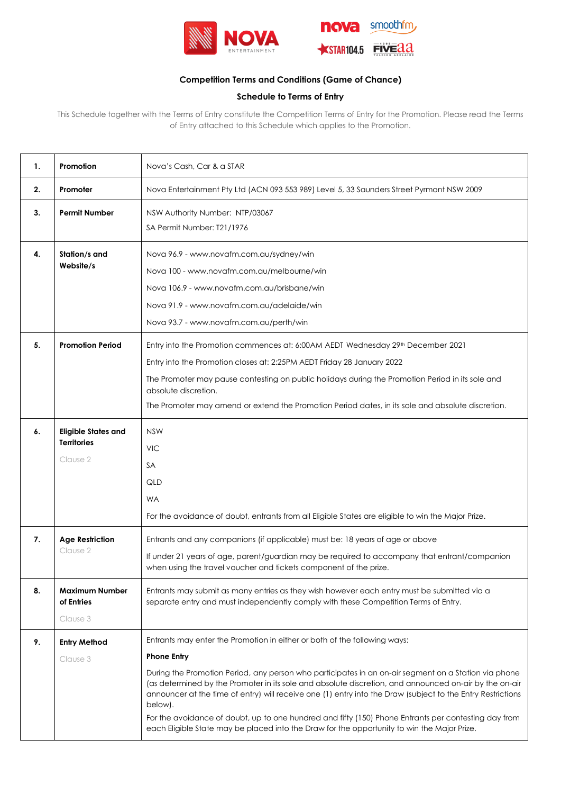



# **Competition Terms and Conditions (Game of Chance)**

# **Schedule to Terms of Entry**

This Schedule together with the Terms of Entry constitute the Competition Terms of Entry for the Promotion. Please read the Terms of Entry attached to this Schedule which applies to the Promotion.

| 1. | Promotion                                                    | Nova's Cash, Car & a STAR                                                                                                                                                                                                                                                                                                                                                                                                                                                                                                                                                                                                                          |  |
|----|--------------------------------------------------------------|----------------------------------------------------------------------------------------------------------------------------------------------------------------------------------------------------------------------------------------------------------------------------------------------------------------------------------------------------------------------------------------------------------------------------------------------------------------------------------------------------------------------------------------------------------------------------------------------------------------------------------------------------|--|
| 2. | Promoter                                                     | Nova Entertainment Pty Ltd (ACN 093 553 989) Level 5, 33 Saunders Street Pyrmont NSW 2009                                                                                                                                                                                                                                                                                                                                                                                                                                                                                                                                                          |  |
| 3. | <b>Permit Number</b>                                         | NSW Authority Number: NTP/03067<br>SA Permit Number: T21/1976                                                                                                                                                                                                                                                                                                                                                                                                                                                                                                                                                                                      |  |
| 4. | Station/s and<br>Website/s                                   | Nova 96.9 - www.novafm.com.au/sydney/win<br>Nova 100 - www.novafm.com.au/melbourne/win<br>Nova 106.9 - www.novafm.com.au/brisbane/win<br>Nova 91.9 - www.novafm.com.au/adelaide/win<br>Nova 93.7 - www.novafm.com.au/perth/win                                                                                                                                                                                                                                                                                                                                                                                                                     |  |
| 5. | <b>Promotion Period</b>                                      | Entry into the Promotion commences at: 6:00AM AEDT Wednesday 29 <sup>th</sup> December 2021<br>Entry into the Promotion closes at: 2:25PM AEDT Friday 28 January 2022<br>The Promoter may pause contesting on public holidays during the Promotion Period in its sole and<br>absolute discretion.<br>The Promoter may amend or extend the Promotion Period dates, in its sole and absolute discretion.                                                                                                                                                                                                                                             |  |
| 6. | <b>Eligible States and</b><br><b>Territories</b><br>Clause 2 | <b>NSW</b><br><b>VIC</b><br>SА<br>QLD<br>WA<br>For the avoidance of doubt, entrants from all Eligible States are eligible to win the Major Prize.                                                                                                                                                                                                                                                                                                                                                                                                                                                                                                  |  |
| 7. | <b>Age Restriction</b><br>Clause 2                           | Entrants and any companions (if applicable) must be: 18 years of age or above<br>If under 21 years of age, parent/guardian may be required to accompany that entrant/companion<br>when using the travel voucher and tickets component of the prize.                                                                                                                                                                                                                                                                                                                                                                                                |  |
| 8. | <b>Maximum Number</b><br>of Entries<br>Clause 3              | Entrants may submit as many entries as they wish however each entry must be submitted via a<br>separate entry and must independently comply with these Competition Terms of Entry.                                                                                                                                                                                                                                                                                                                                                                                                                                                                 |  |
| 9. | <b>Entry Method</b><br>Clause 3                              | Entrants may enter the Promotion in either or both of the following ways:<br><b>Phone Entry</b><br>During the Promotion Period, any person who participates in an on-air segment on a Station via phone<br>(as determined by the Promoter in its sole and absolute discretion, and announced on-air by the on-air<br>announcer at the time of entry) will receive one (1) entry into the Draw (subject to the Entry Restrictions<br>below).<br>For the avoidance of doubt, up to one hundred and fifty (150) Phone Entrants per contesting day from<br>each Eligible State may be placed into the Draw for the opportunity to win the Major Prize. |  |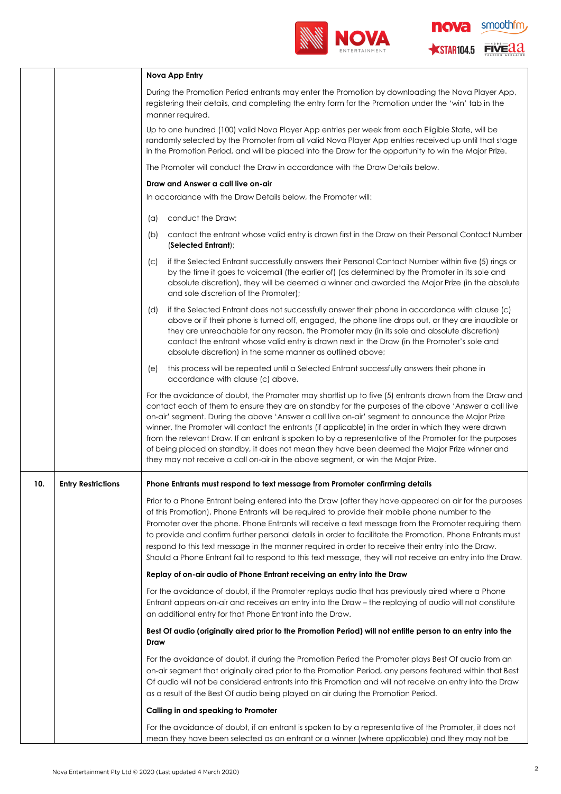

nova smoothfm STAR104.5 FIVE 22

|     |                           | Nova App Entry                                                                                                                                                                                                                                                                                                                                                                                                                                                                                                                                                                                                                                                                                                              |  |
|-----|---------------------------|-----------------------------------------------------------------------------------------------------------------------------------------------------------------------------------------------------------------------------------------------------------------------------------------------------------------------------------------------------------------------------------------------------------------------------------------------------------------------------------------------------------------------------------------------------------------------------------------------------------------------------------------------------------------------------------------------------------------------------|--|
|     |                           | During the Promotion Period entrants may enter the Promotion by downloading the Nova Player App,<br>registering their details, and completing the entry form for the Promotion under the 'win' tab in the<br>manner required.                                                                                                                                                                                                                                                                                                                                                                                                                                                                                               |  |
|     |                           | Up to one hundred (100) valid Nova Player App entries per week from each Eligible State, will be<br>randomly selected by the Promoter from all valid Nova Player App entries received up until that stage<br>in the Promotion Period, and will be placed into the Draw for the opportunity to win the Major Prize.                                                                                                                                                                                                                                                                                                                                                                                                          |  |
|     |                           | The Promoter will conduct the Draw in accordance with the Draw Details below.                                                                                                                                                                                                                                                                                                                                                                                                                                                                                                                                                                                                                                               |  |
|     |                           | Draw and Answer a call live on-air                                                                                                                                                                                                                                                                                                                                                                                                                                                                                                                                                                                                                                                                                          |  |
|     |                           | In accordance with the Draw Details below, the Promoter will:                                                                                                                                                                                                                                                                                                                                                                                                                                                                                                                                                                                                                                                               |  |
|     |                           | conduct the Draw;<br>$(\alpha)$                                                                                                                                                                                                                                                                                                                                                                                                                                                                                                                                                                                                                                                                                             |  |
|     |                           | contact the entrant whose valid entry is drawn first in the Draw on their Personal Contact Number<br>(b)<br>(Selected Entrant);                                                                                                                                                                                                                                                                                                                                                                                                                                                                                                                                                                                             |  |
|     |                           | if the Selected Entrant successfully answers their Personal Contact Number within five (5) rings or<br>(C)<br>by the time it goes to voicemail (the earlier of) (as determined by the Promoter in its sole and<br>absolute discretion), they will be deemed a winner and awarded the Major Prize (in the absolute<br>and sole discretion of the Promoter);                                                                                                                                                                                                                                                                                                                                                                  |  |
|     |                           | if the Selected Entrant does not successfully answer their phone in accordance with clause (c)<br>(d)<br>above or if their phone is turned off, engaged, the phone line drops out, or they are inaudible or<br>they are unreachable for any reason, the Promoter may (in its sole and absolute discretion)<br>contact the entrant whose valid entry is drawn next in the Draw (in the Promoter's sole and<br>absolute discretion) in the same manner as outlined above;                                                                                                                                                                                                                                                     |  |
|     |                           | this process will be repeated until a Selected Entrant successfully answers their phone in<br>(e)<br>accordance with clause (c) above.                                                                                                                                                                                                                                                                                                                                                                                                                                                                                                                                                                                      |  |
|     |                           | For the avoidance of doubt, the Promoter may shortlist up to five (5) entrants drawn from the Draw and<br>contact each of them to ensure they are on standby for the purposes of the above 'Answer a call live<br>on-air' segment. During the above 'Answer a call live on-air' segment to announce the Major Prize<br>winner, the Promoter will contact the entrants (if applicable) in the order in which they were drawn<br>from the relevant Draw. If an entrant is spoken to by a representative of the Promoter for the purposes<br>of being placed on standby, it does not mean they have been deemed the Major Prize winner and<br>they may not receive a call on-air in the above segment, or win the Major Prize. |  |
| 10. | <b>Entry Restrictions</b> | Phone Entrants must respond to text message from Promoter confirming details                                                                                                                                                                                                                                                                                                                                                                                                                                                                                                                                                                                                                                                |  |
|     |                           | Prior to a Phone Entrant being entered into the Draw (after they have appeared on air for the purposes<br>of this Promotion), Phone Entrants will be required to provide their mobile phone number to the<br>Promoter over the phone. Phone Entrants will receive a text message from the Promoter requiring them<br>to provide and confirm further personal details in order to facilitate the Promotion. Phone Entrants must<br>respond to this text message in the manner required in order to receive their entry into the Draw.<br>Should a Phone Entrant fail to respond to this text message, they will not receive an entry into the Draw.                                                                          |  |
|     |                           | Replay of on-air audio of Phone Entrant receiving an entry into the Draw                                                                                                                                                                                                                                                                                                                                                                                                                                                                                                                                                                                                                                                    |  |
|     |                           | For the avoidance of doubt, if the Promoter replays audio that has previously aired where a Phone<br>Entrant appears on-air and receives an entry into the Draw - the replaying of audio will not constitute<br>an additional entry for that Phone Entrant into the Draw.                                                                                                                                                                                                                                                                                                                                                                                                                                                   |  |
|     |                           | Best Of audio (originally aired prior to the Promotion Period) will not entitle person to an entry into the<br>Draw                                                                                                                                                                                                                                                                                                                                                                                                                                                                                                                                                                                                         |  |
|     |                           | For the avoidance of doubt, if during the Promotion Period the Promoter plays Best Of audio from an<br>on-air segment that originally aired prior to the Promotion Period, any persons featured within that Best<br>Of audio will not be considered entrants into this Promotion and will not receive an entry into the Draw<br>as a result of the Best Of audio being played on air during the Promotion Period.                                                                                                                                                                                                                                                                                                           |  |
|     |                           | Calling in and speaking to Promoter                                                                                                                                                                                                                                                                                                                                                                                                                                                                                                                                                                                                                                                                                         |  |
|     |                           | For the avoidance of doubt, if an entrant is spoken to by a representative of the Promoter, it does not<br>mean they have been selected as an entrant or a winner (where applicable) and they may not be                                                                                                                                                                                                                                                                                                                                                                                                                                                                                                                    |  |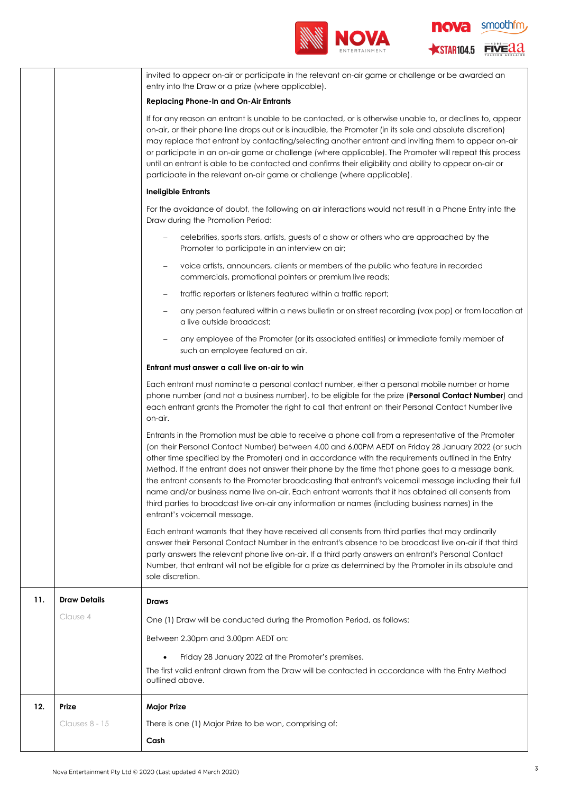



|     |                     | invited to appear on-air or participate in the relevant on-air game or challenge or be awarded an<br>entry into the Draw or a prize (where applicable).                                                                                                                                                                                                                                                                                                                                                                                                                                                                                                                                                                                                                       |  |
|-----|---------------------|-------------------------------------------------------------------------------------------------------------------------------------------------------------------------------------------------------------------------------------------------------------------------------------------------------------------------------------------------------------------------------------------------------------------------------------------------------------------------------------------------------------------------------------------------------------------------------------------------------------------------------------------------------------------------------------------------------------------------------------------------------------------------------|--|
|     |                     | <b>Replacing Phone-In and On-Air Entrants</b>                                                                                                                                                                                                                                                                                                                                                                                                                                                                                                                                                                                                                                                                                                                                 |  |
|     |                     | If for any reason an entrant is unable to be contacted, or is otherwise unable to, or declines to, appear<br>on-air, or their phone line drops out or is inaudible, the Promoter (in its sole and absolute discretion)<br>may replace that entrant by contacting/selecting another entrant and inviting them to appear on-air<br>or participate in an on-air game or challenge (where applicable). The Promoter will repeat this process<br>until an entrant is able to be contacted and confirms their eligibility and ability to appear on-air or<br>participate in the relevant on-air game or challenge (where applicable).                                                                                                                                               |  |
|     |                     | <b>Ineligible Entrants</b>                                                                                                                                                                                                                                                                                                                                                                                                                                                                                                                                                                                                                                                                                                                                                    |  |
|     |                     | For the avoidance of doubt, the following on air interactions would not result in a Phone Entry into the<br>Draw during the Promotion Period:                                                                                                                                                                                                                                                                                                                                                                                                                                                                                                                                                                                                                                 |  |
|     |                     | celebrities, sports stars, artists, guests of a show or others who are approached by the<br>Promoter to participate in an interview on air;                                                                                                                                                                                                                                                                                                                                                                                                                                                                                                                                                                                                                                   |  |
|     |                     | voice artists, announcers, clients or members of the public who feature in recorded<br>-<br>commercials, promotional pointers or premium live reads;                                                                                                                                                                                                                                                                                                                                                                                                                                                                                                                                                                                                                          |  |
|     |                     | traffic reporters or listeners featured within a traffic report;<br>$\qquad \qquad -$                                                                                                                                                                                                                                                                                                                                                                                                                                                                                                                                                                                                                                                                                         |  |
|     |                     | any person featured within a news bulletin or on street recording (vox pop) or from location at<br>$\overline{\phantom{0}}$<br>a live outside broadcast;                                                                                                                                                                                                                                                                                                                                                                                                                                                                                                                                                                                                                      |  |
|     |                     | any employee of the Promoter (or its associated entities) or immediate family member of<br>such an employee featured on air.                                                                                                                                                                                                                                                                                                                                                                                                                                                                                                                                                                                                                                                  |  |
|     |                     | Entrant must answer a call live on-air to win                                                                                                                                                                                                                                                                                                                                                                                                                                                                                                                                                                                                                                                                                                                                 |  |
|     |                     | Each entrant must nominate a personal contact number, either a personal mobile number or home<br>phone number (and not a business number), to be eligible for the prize (Personal Contact Number) and<br>each entrant grants the Promoter the right to call that entrant on their Personal Contact Number live<br>on-air.                                                                                                                                                                                                                                                                                                                                                                                                                                                     |  |
|     |                     | Entrants in the Promotion must be able to receive a phone call from a representative of the Promoter<br>(on their Personal Contact Number) between 4.00 and 6.00PM AEDT on Friday 28 January 2022 (or such<br>other time specified by the Promoter) and in accordance with the requirements outlined in the Entry<br>Method. If the entrant does not answer their phone by the time that phone goes to a message bank,<br>the entrant consents to the Promoter broadcasting that entrant's voicemail message including their full<br>name and/or business name live on-air. Each entrant warrants that it has obtained all consents from<br>third parties to broadcast live on-air any information or names (including business names) in the<br>entrant's voicemail message. |  |
|     |                     | Each entrant warrants that they have received all consents from third parties that may ordinarily<br>answer their Personal Contact Number in the entrant's absence to be broadcast live on-air if that third<br>party answers the relevant phone live on-air. If a third party answers an entrant's Personal Contact<br>Number, that entrant will not be eligible for a prize as determined by the Promoter in its absolute and<br>sole discretion.                                                                                                                                                                                                                                                                                                                           |  |
| 11. | <b>Draw Details</b> | Draws                                                                                                                                                                                                                                                                                                                                                                                                                                                                                                                                                                                                                                                                                                                                                                         |  |
|     | Clause 4            | One (1) Draw will be conducted during the Promotion Period, as follows:                                                                                                                                                                                                                                                                                                                                                                                                                                                                                                                                                                                                                                                                                                       |  |
|     |                     | Between 2.30pm and 3.00pm AEDT on:                                                                                                                                                                                                                                                                                                                                                                                                                                                                                                                                                                                                                                                                                                                                            |  |
|     |                     | Friday 28 January 2022 at the Promoter's premises.                                                                                                                                                                                                                                                                                                                                                                                                                                                                                                                                                                                                                                                                                                                            |  |
|     |                     | The first valid entrant drawn from the Draw will be contacted in accordance with the Entry Method<br>outlined above.                                                                                                                                                                                                                                                                                                                                                                                                                                                                                                                                                                                                                                                          |  |
| 12. | Prize               | <b>Major Prize</b>                                                                                                                                                                                                                                                                                                                                                                                                                                                                                                                                                                                                                                                                                                                                                            |  |
|     | Clauses 8 - 15      | There is one (1) Major Prize to be won, comprising of:                                                                                                                                                                                                                                                                                                                                                                                                                                                                                                                                                                                                                                                                                                                        |  |
|     |                     | Cash                                                                                                                                                                                                                                                                                                                                                                                                                                                                                                                                                                                                                                                                                                                                                                          |  |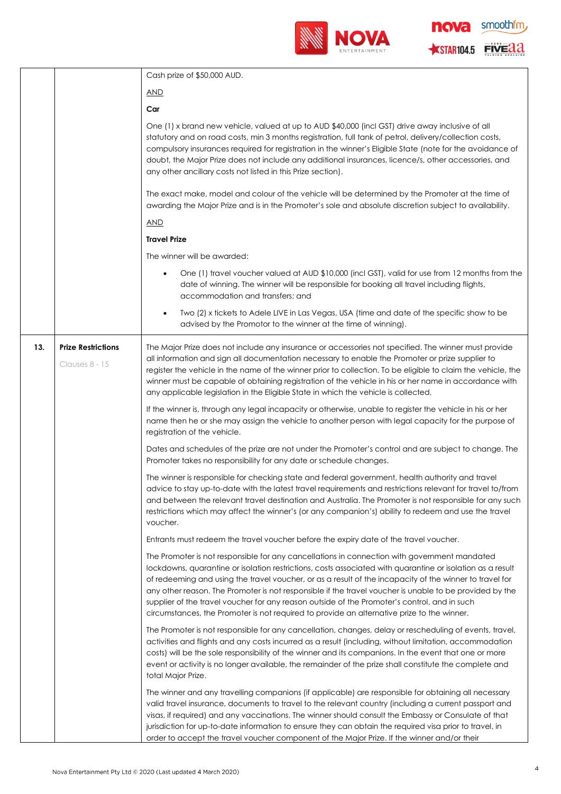

smoothfm<sub>,</sub> **nova** STAR104.5 FIVE 22

٦

|                                                                                                       |                           | Cash prize of \$50,000 AUD.                                                                                                                                                                                                                                                                                                                                                                                                                                                                                                                                                                                                    |  |
|-------------------------------------------------------------------------------------------------------|---------------------------|--------------------------------------------------------------------------------------------------------------------------------------------------------------------------------------------------------------------------------------------------------------------------------------------------------------------------------------------------------------------------------------------------------------------------------------------------------------------------------------------------------------------------------------------------------------------------------------------------------------------------------|--|
|                                                                                                       |                           | <u>AND</u>                                                                                                                                                                                                                                                                                                                                                                                                                                                                                                                                                                                                                     |  |
|                                                                                                       |                           | Car                                                                                                                                                                                                                                                                                                                                                                                                                                                                                                                                                                                                                            |  |
|                                                                                                       |                           | One (1) x brand new vehicle, valued at up to AUD \$40,000 (incl GST) drive away inclusive of all<br>statutory and on road costs, min 3 months registration, full tank of petrol, delivery/collection costs,<br>compulsory insurances required for registration in the winner's Eligible State (note for the avoidance of<br>doubt, the Major Prize does not include any additional insurances, licence/s, other accessories, and<br>any other ancillary costs not listed in this Prize section).                                                                                                                               |  |
|                                                                                                       |                           | The exact make, model and colour of the vehicle will be determined by the Promoter at the time of<br>awarding the Major Prize and is in the Promoter's sole and absolute discretion subject to availability.                                                                                                                                                                                                                                                                                                                                                                                                                   |  |
|                                                                                                       |                           | <b>AND</b>                                                                                                                                                                                                                                                                                                                                                                                                                                                                                                                                                                                                                     |  |
|                                                                                                       |                           | <b>Travel Prize</b>                                                                                                                                                                                                                                                                                                                                                                                                                                                                                                                                                                                                            |  |
|                                                                                                       |                           | The winner will be awarded:                                                                                                                                                                                                                                                                                                                                                                                                                                                                                                                                                                                                    |  |
|                                                                                                       |                           | One (1) travel voucher valued at AUD \$10,000 (incl GST), valid for use from 12 months from the<br>$\bullet$<br>date of winning. The winner will be responsible for booking all travel including flights,<br>accommodation and transfers; and                                                                                                                                                                                                                                                                                                                                                                                  |  |
|                                                                                                       |                           | Two (2) x tickets to Adele LIVE in Las Vegas, USA (time and date of the specific show to be<br>$\bullet$<br>advised by the Promotor to the winner at the time of winning).                                                                                                                                                                                                                                                                                                                                                                                                                                                     |  |
| 13.                                                                                                   | <b>Prize Restrictions</b> | The Major Prize does not include any insurance or accessories not specified. The winner must provide                                                                                                                                                                                                                                                                                                                                                                                                                                                                                                                           |  |
| Clauses 8 - 15<br>any applicable legislation in the Eligible State in which the vehicle is collected. |                           | all information and sign all documentation necessary to enable the Promoter or prize supplier to<br>register the vehicle in the name of the winner prior to collection. To be eligible to claim the vehicle, the<br>winner must be capable of obtaining registration of the vehicle in his or her name in accordance with                                                                                                                                                                                                                                                                                                      |  |
|                                                                                                       |                           | If the winner is, through any legal incapacity or otherwise, unable to register the vehicle in his or her<br>name then he or she may assign the vehicle to another person with legal capacity for the purpose of<br>registration of the vehicle.                                                                                                                                                                                                                                                                                                                                                                               |  |
|                                                                                                       |                           | Dates and schedules of the prize are not under the Promoter's control and are subject to change. The<br>Promoter takes no responsibility for any date or schedule changes.                                                                                                                                                                                                                                                                                                                                                                                                                                                     |  |
|                                                                                                       |                           | The winner is responsible for checking state and federal government, health authority and travel<br>advice to stay up-to-date with the latest travel requirements and restrictions relevant for travel to/from<br>and between the relevant travel destination and Australia. The Promoter is not responsible for any such<br>restrictions which may affect the winner's (or any companion's) ability to redeem and use the travel<br>voucher.                                                                                                                                                                                  |  |
|                                                                                                       |                           | Entrants must redeem the travel voucher before the expiry date of the travel voucher.                                                                                                                                                                                                                                                                                                                                                                                                                                                                                                                                          |  |
|                                                                                                       |                           | The Promoter is not responsible for any cancellations in connection with government mandated<br>lockdowns, quarantine or isolation restrictions, costs associated with quarantine or isolation as a result<br>of redeeming and using the travel voucher, or as a result of the incapacity of the winner to travel for<br>any other reason. The Promoter is not responsible if the travel voucher is unable to be provided by the<br>supplier of the travel voucher for any reason outside of the Promoter's control, and in such<br>circumstances, the Promoter is not required to provide an alternative prize to the winner. |  |
|                                                                                                       |                           | The Promoter is not responsible for any cancellation, changes, delay or rescheduling of events, travel,<br>activities and flights and any costs incurred as a result (including, without limitation, accommodation<br>costs) will be the sole responsibility of the winner and its companions. In the event that one or more<br>event or activity is no longer available, the remainder of the prize shall constitute the complete and<br>total Major Prize.                                                                                                                                                                   |  |
|                                                                                                       |                           | The winner and any travelling companions (if applicable) are responsible for obtaining all necessary<br>valid travel insurance, documents to travel to the relevant country (including a current passport and<br>visas, if required) and any vaccinations. The winner should consult the Embassy or Consulate of that<br>jurisdiction for up-to-date information to ensure they can obtain the required visa prior to travel, in<br>order to accept the travel voucher component of the Major Prize. If the winner and/or their                                                                                                |  |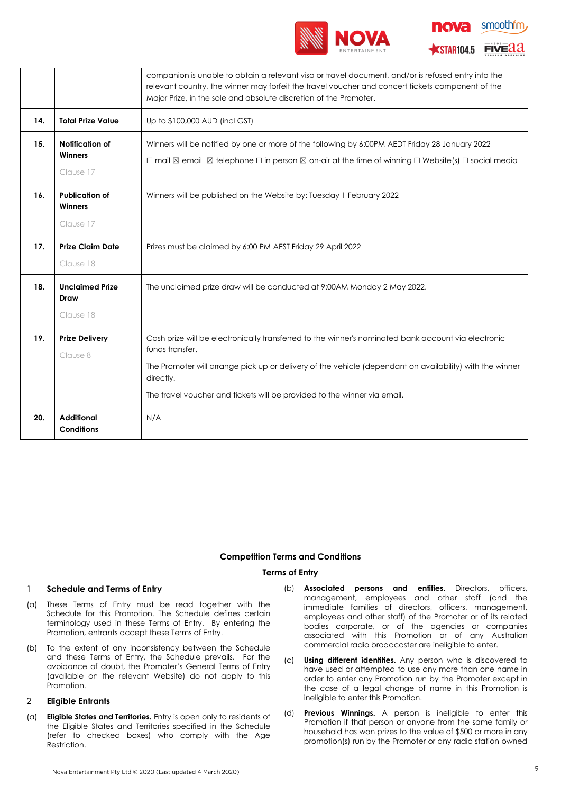

| <b>10Va</b> | smoothfm |  |
|-------------|----------|--|
|             |          |  |

**ESTAR104.5 FIVEdd** 

|     |                                               | companion is unable to obtain a relevant visa or travel document, and/or is refused entry into the<br>relevant country, the winner may forfeit the travel voucher and concert tickets component of the<br>Major Prize, in the sole and absolute discretion of the Promoter.                                                 |  |
|-----|-----------------------------------------------|-----------------------------------------------------------------------------------------------------------------------------------------------------------------------------------------------------------------------------------------------------------------------------------------------------------------------------|--|
| 14. | <b>Total Prize Value</b>                      | Up to \$100,000 AUD (incl GST)                                                                                                                                                                                                                                                                                              |  |
| 15. | Notification of<br>Winners<br>Clause 17       | Winners will be notified by one or more of the following by 6:00PM AEDT Friday 28 January 2022<br>$\Box$ mail $\boxtimes$ email $\boxtimes$ telephone $\Box$ in person $\boxtimes$ on-air at the time of winning $\Box$ Website(s) $\Box$ social media                                                                      |  |
| 16. | <b>Publication of</b><br>Winners<br>Clause 17 | Winners will be published on the Website by: Tuesday 1 February 2022                                                                                                                                                                                                                                                        |  |
| 17. | <b>Prize Claim Date</b><br>Clause 18          | Prizes must be claimed by 6:00 PM AEST Friday 29 April 2022                                                                                                                                                                                                                                                                 |  |
| 18. | <b>Unclaimed Prize</b><br>Draw<br>Clause 18   | The unclaimed prize draw will be conducted at 9:00AM Monday 2 May 2022.                                                                                                                                                                                                                                                     |  |
| 19. | <b>Prize Delivery</b><br>Clause 8             | Cash prize will be electronically transferred to the winner's nominated bank account via electronic<br>funds transfer.<br>The Promoter will arrange pick up or delivery of the vehicle (dependant on availability) with the winner<br>directly.<br>The travel voucher and tickets will be provided to the winner via email. |  |
| 20. | <b>Additional</b><br><b>Conditions</b>        | N/A                                                                                                                                                                                                                                                                                                                         |  |

## **Competition Terms and Conditions**

# **Terms of Entry**

# 1 **Schedule and Terms of Entry**

- (a) These Terms of Entry must be read together with the Schedule for this Promotion. The Schedule defines certain terminology used in these Terms of Entry. By entering the Promotion, entrants accept these Terms of Entry.
- (b) To the extent of any inconsistency between the Schedule and these Terms of Entry, the Schedule prevails. For the avoidance of doubt, the Promoter's General Terms of Entry (available on the relevant Website) do not apply to this Promotion.

### <span id="page-4-0"></span>2 **Eligible Entrants**

- (a) **Eligible States and Territories.** Entry is open only to residents of the Eligible States and Territories specified in the Schedule (refer to checked boxes) who comply with the Age Restriction.
- (b) **Associated persons and entities.** Directors, officers, management, employees and other staff (and the immediate families of directors, officers, management, employees and other staff) of the Promoter or of its related bodies corporate, or of the agencies or companies associated with this Promotion or of any Australian commercial radio broadcaster are ineligible to enter.
- (c) **Using different identities.** Any person who is discovered to have used or attempted to use any more than one name in order to enter any Promotion run by the Promoter except in the case of a legal change of name in this Promotion is ineligible to enter this Promotion.
- (d) **Previous Winnings.** A person is ineligible to enter this Promotion if that person or anyone from the same family or household has won prizes to the value of \$500 or more in any promotion(s) run by the Promoter or any radio station owned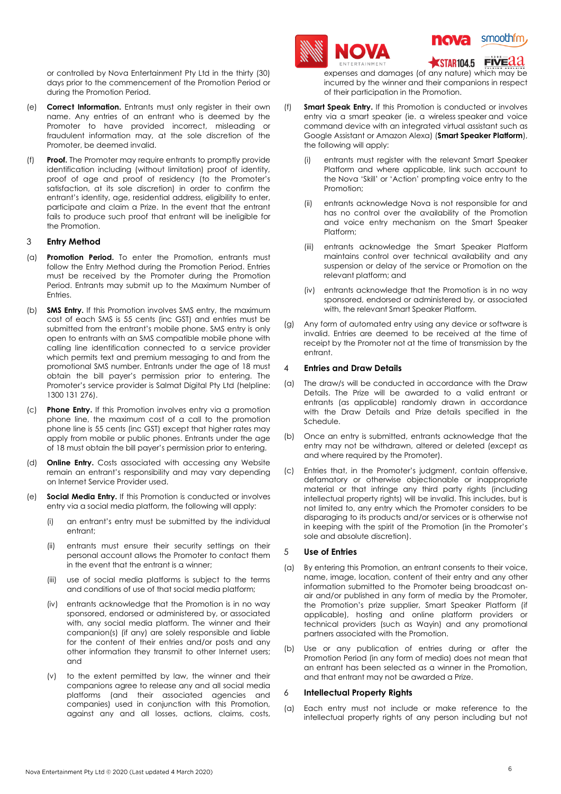or controlled by Nova Entertainment Pty Ltd in the thirty (30) days prior to the commencement of the Promotion Period or during the Promotion Period.

- (e) **Correct Information.** Entrants must only register in their own name. Any entries of an entrant who is deemed by the Promoter to have provided incorrect, misleading or fraudulent information may, at the sole discretion of the Promoter, be deemed invalid.
- (f) **Proof.** The Promoter may require entrants to promptly provide identification including (without limitation) proof of identity, proof of age and proof of residency (to the Promoter's satisfaction, at its sole discretion) in order to confirm the entrant's identity, age, residential address, eligibility to enter, participate and claim a Prize. In the event that the entrant fails to produce such proof that entrant will be ineligible for the Promotion.

## <span id="page-5-0"></span>3 **Entry Method**

- (a) **Promotion Period.** To enter the Promotion, entrants must follow the Entry Method during the Promotion Period. Entries must be received by the Promoter during the Promotion Period. Entrants may submit up to the Maximum Number of **Entries**
- (b) **SMS Entry.** If this Promotion involves SMS entry, the maximum cost of each SMS is 55 cents (inc GST) and entries must be submitted from the entrant's mobile phone. SMS entry is only open to entrants with an SMS compatible mobile phone with calling line identification connected to a service provider which permits text and premium messaging to and from the promotional SMS number. Entrants under the age of 18 must obtain the bill payer's permission prior to entering. The Promoter's service provider is Salmat Digital Pty Ltd (helpline: 1300 131 276).
- (c) **Phone Entry.** If this Promotion involves entry via a promotion phone line, the maximum cost of a call to the promotion phone line is 55 cents (inc GST) except that higher rates may apply from mobile or public phones. Entrants under the age of 18 must obtain the bill payer's permission prior to entering.
- (d) **Online Entry.** Costs associated with accessing any Website remain an entrant's responsibility and may vary depending on Internet Service Provider used.
- (e) **Social Media Entry.** If this Promotion is conducted or involves entry via a social media platform, the following will apply:
	- (i) an entrant's entry must be submitted by the individual entrant;
	- (ii) entrants must ensure their security settings on their personal account allows the Promoter to contact them in the event that the entrant is a winner;
	- (iii) use of social media platforms is subject to the terms and conditions of use of that social media platform;
	- (iv) entrants acknowledge that the Promotion is in no way sponsored, endorsed or administered by, or associated with, any social media platform. The winner and their companion(s) (if any) are solely responsible and liable for the content of their entries and/or posts and any other information they transmit to other Internet users; and
	- (v) to the extent permitted by law, the winner and their companions agree to release any and all social media platforms (and their associated agencies and companies) used in conjunction with this Promotion, against any and all losses, actions, claims, costs,





STAR104.5 FIVE 22

expenses and damages (of any nature) which may be incurred by the winner and their companions in respect of their participation in the Promotion.

- (f) **Smart Speak Entry.** If this Promotion is conducted or involves entry via a smart speaker (ie. a wireless speaker and voice command device with an integrated virtual assistant such as Google Assistant or Amazon Alexa) (**Smart Speaker Platform**), the following will apply:
	- (i) entrants must register with the relevant Smart Speaker Platform and where applicable, link such account to the Nova 'Skill' or 'Action' prompting voice entry to the Promotion;
	- (ii) entrants acknowledge Nova is not responsible for and has no control over the availability of the Promotion and voice entry mechanism on the Smart Speaker Platform;
	- (iii) entrants acknowledge the Smart Speaker Platform maintains control over technical availability and any suspension or delay of the service or Promotion on the relevant platform; and
	- (iv) entrants acknowledge that the Promotion is in no way sponsored, endorsed or administered by, or associated with, the relevant Smart Speaker Platform.
- (g) Any form of automated entry using any device or software is invalid. Entries are deemed to be received at the time of receipt by the Promoter not at the time of transmission by the entrant.

# <span id="page-5-1"></span>4 **Entries and Draw Details**

- (a) The draw/s will be conducted in accordance with the Draw Details. The Prize will be awarded to a valid entrant or entrants (as applicable) randomly drawn in accordance with the Draw Details and Prize details specified in the Schedule.
- (b) Once an entry is submitted, entrants acknowledge that the entry may not be withdrawn, altered or deleted (except as and where required by the Promoter).
- (c) Entries that, in the Promoter's judgment, contain offensive, defamatory or otherwise objectionable or inappropriate material or that infringe any third party rights (including intellectual property rights) will be invalid. This includes, but is not limited to, any entry which the Promoter considers to be disparaging to its products and/or services or is otherwise not in keeping with the spirit of the Promotion (in the Promoter's sole and absolute discretion).

### 5 **Use of Entries**

- (a) By entering this Promotion, an entrant consents to their voice, name, image, location, content of their entry and any other information submitted to the Promoter being broadcast onair and/or published in any form of media by the Promoter, the Promotion's prize supplier, Smart Speaker Platform (if applicable), hosting and online platform providers or technical providers (such as Wayin) and any promotional partners associated with the Promotion.
- (b) Use or any publication of entries during or after the Promotion Period (in any form of media) does not mean that an entrant has been selected as a winner in the Promotion, and that entrant may not be awarded a Prize.

### 6 **Intellectual Property Rights**

(a) Each entry must not include or make reference to the intellectual property rights of any person including but not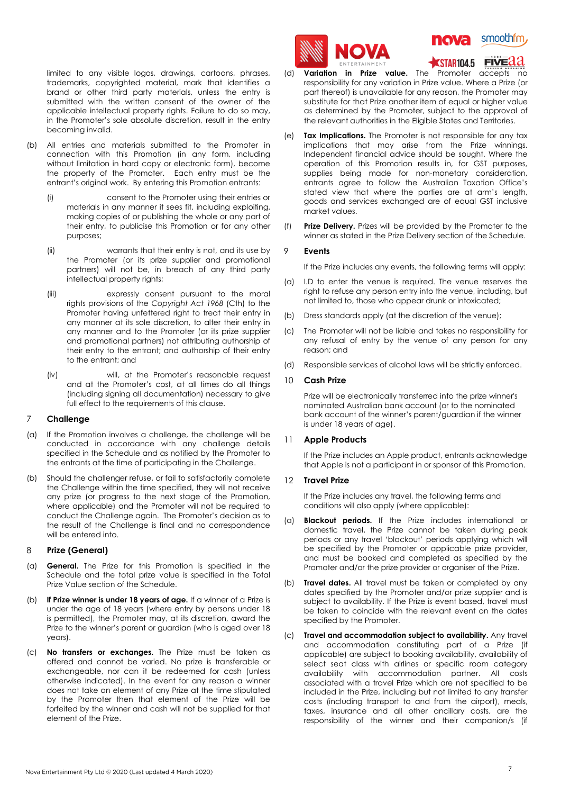limited to any visible logos, drawings, cartoons, phrases, trademarks, copyrighted material, mark that identifies a brand or other third party materials, unless the entry is submitted with the written consent of the owner of the applicable intellectual property rights. Failure to do so may, in the Promoter's sole absolute discretion, result in the entry becoming invalid.

- (b) All entries and materials submitted to the Promoter in connection with this Promotion (in any form, including without limitation in hard copy or electronic form), become the property of the Promoter. Each entry must be the entrant's original work. By entering this Promotion entrants:
	- (i) consent to the Promoter using their entries or materials in any manner it sees fit, including exploiting, making copies of or publishing the whole or any part of their entry, to publicise this Promotion or for any other purposes;
	- (ii) warrants that their entry is not, and its use by the Promoter (or its prize supplier and promotional partners) will not be, in breach of any third party intellectual property rights;
	- (iii) expressly consent pursuant to the moral rights provisions of the *Copyright Act 1968* (Cth) to the Promoter having unfettered right to treat their entry in any manner at its sole discretion, to alter their entry in any manner and to the Promoter (or its prize supplier and promotional partners) not attributing authorship of their entry to the entrant; and authorship of their entry to the entrant; and
	- (iv) will, at the Promoter's reasonable request and at the Promoter's cost, at all times do all things (including signing all documentation) necessary to give full effect to the requirements of this clause.

# 7 **Challenge**

- (a) If the Promotion involves a challenge, the challenge will be conducted in accordance with any challenge details specified in the Schedule and as notified by the Promoter to the entrants at the time of participating in the Challenge.
- (b) Should the challenger refuse, or fail to satisfactorily complete the Challenge within the time specified, they will not receive any prize (or progress to the next stage of the Promotion, where applicable) and the Promoter will not be required to conduct the Challenge again. The Promoter's decision as to the result of the Challenge is final and no correspondence will be entered into.

### <span id="page-6-0"></span>8 **Prize (General)**

- (a) **General.** The Prize for this Promotion is specified in the Schedule and the total prize value is specified in the Total Prize Value section of the Schedule.
- (b) **If Prize winner is under 18 years of age.** If a winner of a Prize is under the age of 18 years (where entry by persons under 18 is permitted), the Promoter may, at its discretion, award the Prize to the winner's parent or guardian (who is aged over 18 years).
- (c) **No transfers or exchanges.** The Prize must be taken as offered and cannot be varied. No prize is transferable or exchangeable, nor can it be redeemed for cash (unless otherwise indicated). In the event for any reason a winner does not take an element of any Prize at the time stipulated by the Promoter then that element of the Prize will be forfeited by the winner and cash will not be supplied for that element of the Prize.





 $\overline{\text{STAR}}$ 104.5 FIVE $\overline{\text{A2}}$ 

- (d) **Variation in Prize value.** The Promoter accepts no responsibility for any variation in Prize value. Where a Prize (or part thereof) is unavailable for any reason, the Promoter may substitute for that Prize another item of equal or higher value as determined by the Promoter, subject to the approval of the relevant authorities in the Eligible States and Territories.
- (e) **Tax Implications.** The Promoter is not responsible for any tax implications that may arise from the Prize winnings. Independent financial advice should be sought. Where the operation of this Promotion results in, for GST purposes, supplies being made for non-monetary consideration, entrants agree to follow the Australian Taxation Office's stated view that where the parties are at arm's length, goods and services exchanged are of equal GST inclusive market values.
- (f) **Prize Delivery.** Prizes will be provided by the Promoter to the winner as stated in the Prize Delivery section of the Schedule.

### 9 **Events**

If the Prize includes any events, the following terms will apply:

- (a) I.D to enter the venue is required. The venue reserves the right to refuse any person entry into the venue, including, but not limited to, those who appear drunk or intoxicated;
- (b) Dress standards apply (at the discretion of the venue);
- (c) The Promoter will not be liable and takes no responsibility for any refusal of entry by the venue of any person for any reason; and
- (d) Responsible services of alcohol laws will be strictly enforced.

# 10 **Cash Prize**

Prize will be electronically transferred into the prize winner's nominated Australian bank account (or to the nominated bank account of the winner's parent/guardian if the winner is under 18 years of age).

## 11 **Apple Products**

If the Prize includes an Apple product, entrants acknowledge that Apple is not a participant in or sponsor of this Promotion.

### 12 **Travel Prize**

If the Prize includes any travel, the following terms and conditions will also apply (where applicable):

- (a) **Blackout periods.** If the Prize includes international or domestic travel, the Prize cannot be taken during peak periods or any travel 'blackout' periods applying which will be specified by the Promoter or applicable prize provider, and must be booked and completed as specified by the Promoter and/or the prize provider or organiser of the Prize.
- (b) **Travel dates.** All travel must be taken or completed by any dates specified by the Promoter and/or prize supplier and is subject to availability. If the Prize is event based, travel must be taken to coincide with the relevant event on the dates specified by the Promoter.
- (c) **Travel and accommodation subject to availability.** Any travel and accommodation constituting part of a Prize (if applicable) are subject to booking availability, availability of select seat class with airlines or specific room category availability with accommodation partner. All costs associated with a travel Prize which are not specified to be included in the Prize, including but not limited to any transfer costs (including transport to and from the airport), meals, taxes, insurance and all other ancillary costs, are the responsibility of the winner and their companion/s (if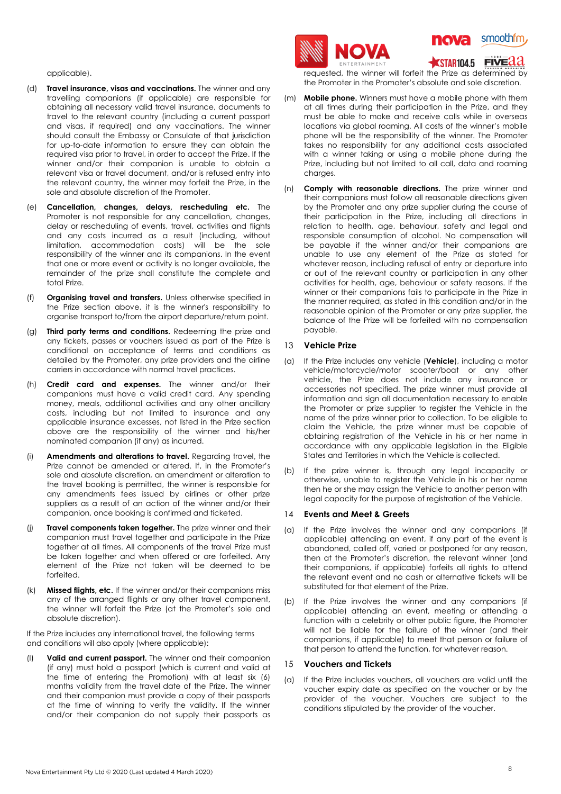applicable).

- (d) **Travel insurance, visas and vaccinations.** The winner and any travelling companions (if applicable) are responsible for obtaining all necessary valid travel insurance, documents to travel to the relevant country (including a current passport and visas, if required) and any vaccinations. The winner should consult the Embassy or Consulate of that jurisdiction for up-to-date information to ensure they can obtain the required visa prior to travel, in order to accept the Prize. If the winner and/or their companion is unable to obtain a relevant visa or travel document, and/or is refused entry into the relevant country, the winner may forfeit the Prize, in the sole and absolute discretion of the Promoter.
- (e) **Cancellation, changes, delays, rescheduling etc.** The Promoter is not responsible for any cancellation, changes, delay or rescheduling of events, travel, activities and flights and any costs incurred as a result (including, without limitation, accommodation costs) will be the sole responsibility of the winner and its companions. In the event that one or more event or activity is no longer available, the remainder of the prize shall constitute the complete and total Prize.
- (f) **Organising travel and transfers.** Unless otherwise specified in the Prize section above, it is the winner's responsibility to organise transport to/from the airport departure/return point.
- (g) **Third party terms and conditions.** Redeeming the prize and any tickets, passes or vouchers issued as part of the Prize is conditional on acceptance of terms and conditions as detailed by the Promoter, any prize providers and the airline carriers in accordance with normal travel practices.
- (h) **Credit card and expenses.** The winner and/or their companions must have a valid credit card. Any spending money, meals, additional activities and any other ancillary costs, including but not limited to insurance and any applicable insurance excesses, not listed in the Prize section above are the responsibility of the winner and his/her nominated companion (if any) as incurred.
- (i) **Amendments and alterations to travel.** Regarding travel, the Prize cannot be amended or altered. If, in the Promoter's sole and absolute discretion, an amendment or alteration to the travel booking is permitted, the winner is responsible for any amendments fees issued by airlines or other prize suppliers as a result of an action of the winner and/or their companion, once booking is confirmed and ticketed.
- (j) **Travel components taken together.** The prize winner and their companion must travel together and participate in the Prize together at all times. All components of the travel Prize must be taken together and when offered or are forfeited. Any element of the Prize not taken will be deemed to be forfeited.
- (k) **Missed flights, etc.** If the winner and/or their companions miss any of the arranged flights or any other travel component, the winner will forfeit the Prize (at the Promoter's sole and absolute discretion).

If the Prize includes any international travel, the following terms and conditions will also apply (where applicable):

(l) **Valid and current passport.** The winner and their companion (if any) must hold a passport (which is current and valid at the time of entering the Promotion) with at least six (6) months validity from the travel date of the Prize. The winner and their companion must provide a copy of their passports at the time of winning to verify the validity. If the winner and/or their companion do not supply their passports as





#### **FIVEAA**  $\blacksquare$ STAR104.5

requested, the winner will forfeit the Prize as determined by the Promoter in the Promoter's absolute and sole discretion.

- (m) **Mobile phone.** Winners must have a mobile phone with them at all times during their participation in the Prize, and they must be able to make and receive calls while in overseas locations via global roaming. All costs of the winner's mobile phone will be the responsibility of the winner. The Promoter takes no responsibility for any additional costs associated with a winner taking or using a mobile phone during the Prize, including but not limited to all call, data and roaming charges.
- (n) **Comply with reasonable directions.** The prize winner and their companions must follow all reasonable directions given by the Promoter and any prize supplier during the course of their participation in the Prize, including all directions in relation to health, age, behaviour, safety and legal and responsible consumption of alcohol. No compensation will be payable if the winner and/or their companions are unable to use any element of the Prize as stated for whatever reason, including refusal of entry or departure into or out of the relevant country or participation in any other activities for health, age, behaviour or safety reasons. If the winner or their companions fails to participate in the Prize in the manner required, as stated in this condition and/or in the reasonable opinion of the Promoter or any prize supplier, the balance of the Prize will be forfeited with no compensation payable.

## 13 **Vehicle Prize**

- (a) If the Prize includes any vehicle (**Vehicle**), including a motor vehicle/motorcycle/motor scooter/boat or any other vehicle, the Prize does not include any insurance or accessories not specified. The prize winner must provide all information and sign all documentation necessary to enable the Promoter or prize supplier to register the Vehicle in the name of the prize winner prior to collection. To be eligible to claim the Vehicle, the prize winner must be capable of obtaining registration of the Vehicle in his or her name in accordance with any applicable legislation in the Eligible States and Territories in which the Vehicle is collected.
- (b) If the prize winner is, through any legal incapacity or otherwise, unable to register the Vehicle in his or her name then he or she may assign the Vehicle to another person with legal capacity for the purpose of registration of the Vehicle.

## 14 **Events and Meet & Greets**

- (a) If the Prize involves the winner and any companions (if applicable) attending an event, if any part of the event is abandoned, called off, varied or postponed for any reason, then at the Promoter's discretion, the relevant winner (and their companions, if applicable) forfeits all rights to attend the relevant event and no cash or alternative tickets will be substituted for that element of the Prize.
- (b) If the Prize involves the winner and any companions (if applicable) attending an event, meeting or attending a function with a celebrity or other public figure, the Promoter will not be liable for the failure of the winner (and their companions, if applicable) to meet that person or failure of that person to attend the function, for whatever reason.

# <span id="page-7-0"></span>15 **Vouchers and Tickets**

(a) If the Prize includes vouchers, all vouchers are valid until the voucher expiry date as specified on the voucher or by the provider of the voucher. Vouchers are subject to the conditions stipulated by the provider of the voucher.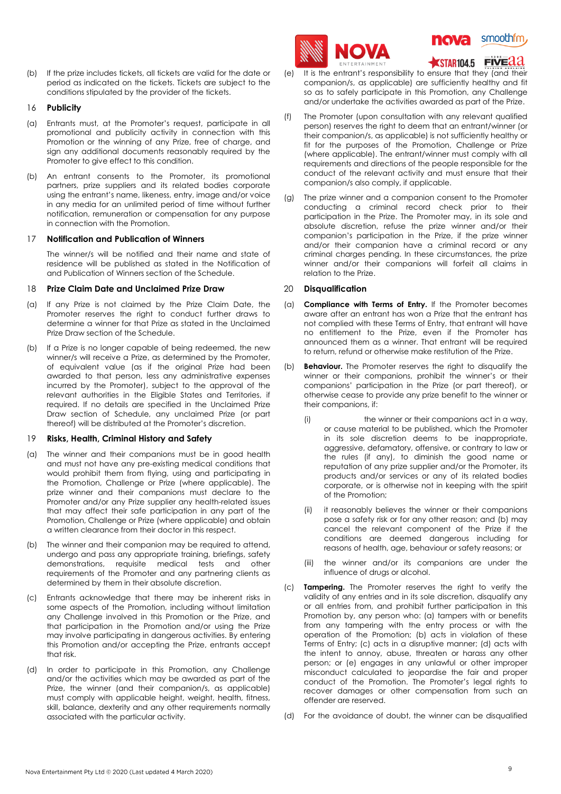(b) If the prize includes tickets, all tickets are valid for the date or period as indicated on the tickets. Tickets are subject to the conditions stipulated by the provider of the tickets.

## 16 **Publicity**

- (a) Entrants must, at the Promoter's request, participate in all promotional and publicity activity in connection with this Promotion or the winning of any Prize, free of charge, and sign any additional documents reasonably required by the Promoter to give effect to this condition.
- (b) An entrant consents to the Promoter, its promotional partners, prize suppliers and its related bodies corporate using the entrant's name, likeness, entry, image and/or voice in any media for an unlimited period of time without further notification, remuneration or compensation for any purpose in connection with the Promotion.

### <span id="page-8-0"></span>17 **Notification and Publication of Winners**

The winner/s will be notified and their name and state of residence will be published as stated in the Notification of and Publication of Winners section of the Schedule.

### <span id="page-8-1"></span>18 **Prize Claim Date and Unclaimed Prize Draw**

- (a) If any Prize is not claimed by the Prize Claim Date, the Promoter reserves the right to conduct further draws to determine a winner for that Prize as stated in the Unclaimed Prize Draw section of the Schedule.
- (b) If a Prize is no longer capable of being redeemed, the new winner/s will receive a Prize, as determined by the Promoter, of equivalent value (as if the original Prize had been awarded to that person, less any administrative expenses incurred by the Promoter), subject to the approval of the relevant authorities in the Eligible States and Territories, if required. If no details are specified in the Unclaimed Prize Draw section of Schedule, any unclaimed Prize (or part thereof) will be distributed at the Promoter's discretion.

### 19 **Risks, Health, Criminal History and Safety**

- (a) The winner and their companions must be in good health and must not have any pre-existing medical conditions that would prohibit them from flying, using and participating in the Promotion, Challenge or Prize (where applicable). The prize winner and their companions must declare to the Promoter and/or any Prize supplier any health-related issues that may affect their safe participation in any part of the Promotion, Challenge or Prize (where applicable) and obtain a written clearance from their doctor in this respect.
- (b) The winner and their companion may be required to attend, undergo and pass any appropriate training, briefings, safety demonstrations, requisite medical tests and other requirements of the Promoter and any partnering clients as determined by them in their absolute discretion.
- (c) Entrants acknowledge that there may be inherent risks in some aspects of the Promotion, including without limitation any Challenge involved in this Promotion or the Prize, and that participation in the Promotion and/or using the Prize may involve participating in dangerous activities. By entering this Promotion and/or accepting the Prize, entrants accept that risk.
- (d) In order to participate in this Promotion, any Challenge and/or the activities which may be awarded as part of the Prize, the winner (and their companion/s, as applicable) must comply with applicable height, weight, health, fitness, skill, balance, dexterity and any other requirements normally associated with the particular activity.





STAR104.5 FIVEAA

- (e) It is the entrant's responsibility to ensure that they (and their companion/s, as applicable) are sufficiently healthy and fit so as to safely participate in this Promotion, any Challenge and/or undertake the activities awarded as part of the Prize.
- (f) The Promoter (upon consultation with any relevant qualified person) reserves the right to deem that an entrant/winner (or their companion/s, as applicable) is not sufficiently healthy or fit for the purposes of the Promotion, Challenge or Prize (where applicable). The entrant/winner must comply with all requirements and directions of the people responsible for the conduct of the relevant activity and must ensure that their companion/s also comply, if applicable.
- (g) The prize winner and a companion consent to the Promoter conducting a criminal record check prior to their participation in the Prize. The Promoter may, in its sole and absolute discretion, refuse the prize winner and/or their companion's participation in the Prize, if the prize winner and/or their companion have a criminal record or any criminal charges pending. In these circumstances, the prize winner and/or their companions will forfeit all claims in relation to the Prize.

# <span id="page-8-2"></span>20 **Disqualification**

- (a) **Compliance with Terms of Entry.** If the Promoter becomes aware after an entrant has won a Prize that the entrant has not complied with these Terms of Entry, that entrant will have no entitlement to the Prize, even if the Promoter has announced them as a winner. That entrant will be required to return, refund or otherwise make restitution of the Prize.
- (b) **Behaviour.** The Promoter reserves the right to disqualify the winner or their companions, prohibit the winner's or their companions' participation in the Prize (or part thereof), or otherwise cease to provide any prize benefit to the winner or their companions, if:
	- (i) the winner or their companions act in a way, or cause material to be published, which the Promoter in its sole discretion deems to be inappropriate, aggressive, defamatory, offensive, or contrary to law or the rules (if any), to diminish the good name or reputation of any prize supplier and/or the Promoter, its products and/or services or any of its related bodies corporate, or is otherwise not in keeping with the spirit of the Promotion;
	- (ii) it reasonably believes the winner or their companions pose a safety risk or for any other reason; and (b) may cancel the relevant component of the Prize if the conditions are deemed dangerous including for reasons of health, age, behaviour or safety reasons; or
	- (iii) the winner and/or its companions are under the influence of drugs or alcohol.
- (c) **Tampering.** The Promoter reserves the right to verify the validity of any entries and in its sole discretion, disqualify any or all entries from, and prohibit further participation in this Promotion by, any person who: (a) tampers with or benefits from any tampering with the entry process or with the operation of the Promotion; (b) acts in violation of these Terms of Entry; (c) acts in a disruptive manner; (d) acts with the intent to annoy, abuse, threaten or harass any other person; or (e) engages in any unlawful or other improper misconduct calculated to jeopardise the fair and proper conduct of the Promotion. The Promoter's legal rights to recover damages or other compensation from such an offender are reserved.
- (d) For the avoidance of doubt, the winner can be disqualified